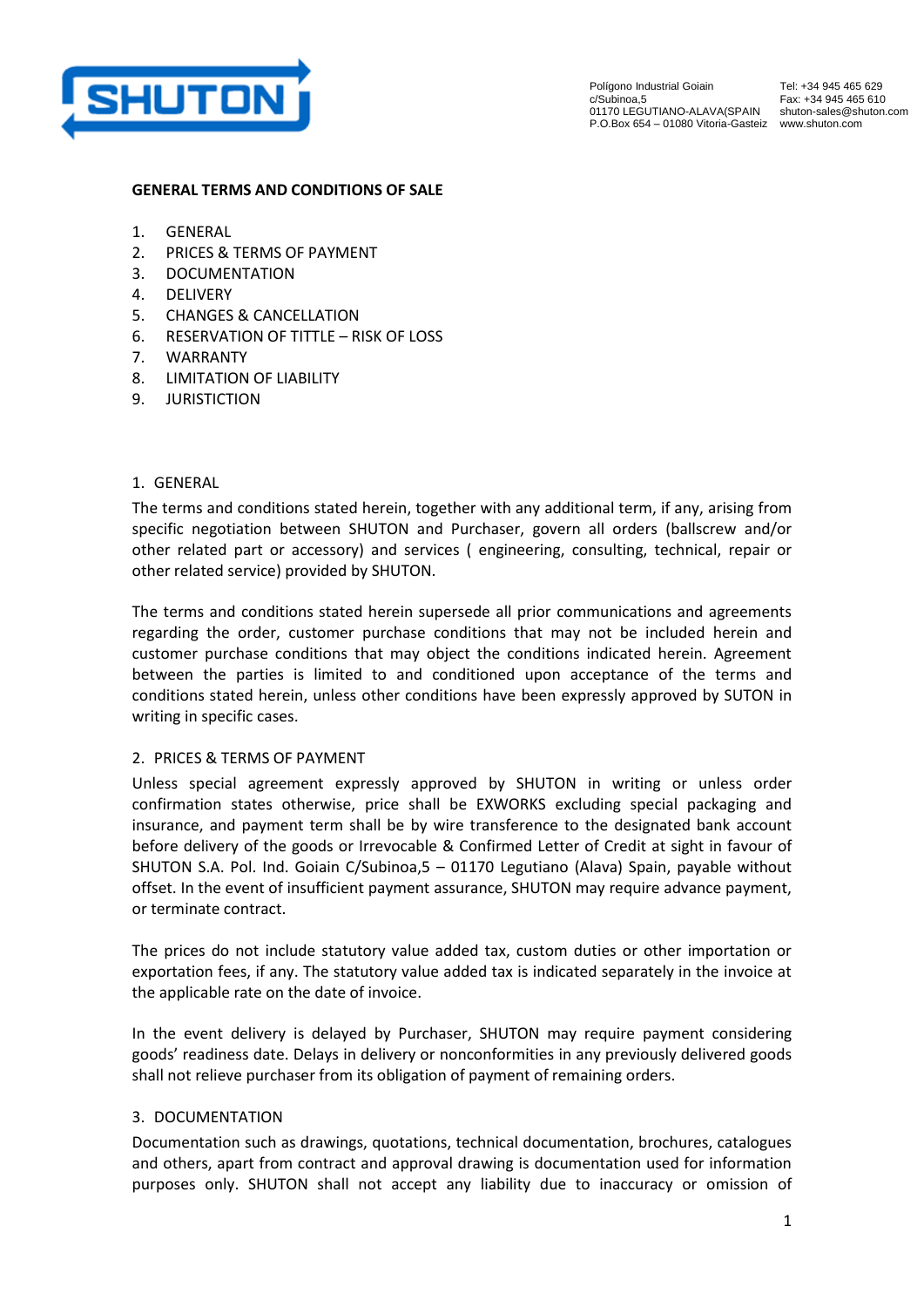

Polígono Industrial Goiain c/Subinoa,5 01170 LEGUTIANO-ALAVA(SPAIN shuton-sales@shuton.com P.O.Box 654 – 01080 Vitoria-Gasteiz www.shuton.com

Tel: +34 945 465 629 Fax: +34 945 465 610

## **GENERAL TERMS AND CONDITIONS OF SALE**

- 1. [GENERAL](#page-0-0)
- 2. [PRICES & TERMS OF PAYMENT](#page-0-1)
- 3. [DOCUMENTATION](#page-0-2)
- 4. [DELIVERY](#page-1-0)
- 5. [CHANGES & CANCELLATION](#page-1-1)
- 6. [RESERVATION OF TITTLE](#page-1-2)  RISK OF LOSS
- 7. [WARRANTY](#page-1-3)
- 8. [LIMITATION OF LIABILITY](#page-2-0)
- 9. [JURISTICTION](#page-2-1)

## <span id="page-0-0"></span>1. GENERAL

The terms and conditions stated herein, together with any additional term, if any, arising from specific negotiation between SHUTON and Purchaser, govern all orders (ballscrew and/or other related part or accessory) and services ( engineering, consulting, technical, repair or other related service) provided by SHUTON.

The terms and conditions stated herein supersede all prior communications and agreements regarding the order, customer purchase conditions that may not be included herein and customer purchase conditions that may object the conditions indicated herein. Agreement between the parties is limited to and conditioned upon acceptance of the terms and conditions stated herein, unless other conditions have been expressly approved by SUTON in writing in specific cases.

# <span id="page-0-1"></span>2. PRICES & TERMS OF PAYMENT

Unless special agreement expressly approved by SHUTON in writing or unless order confirmation states otherwise, price shall be EXWORKS excluding special packaging and insurance, and payment term shall be by wire transference to the designated bank account before delivery of the goods or Irrevocable & Confirmed Letter of Credit at sight in favour of SHUTON S.A. Pol. Ind. Goiain C/Subinoa,5 – 01170 Legutiano (Alava) Spain, payable without offset. In the event of insufficient payment assurance, SHUTON may require advance payment, or terminate contract.

The prices do not include statutory value added tax, custom duties or other importation or exportation fees, if any. The statutory value added tax is indicated separately in the invoice at the applicable rate on the date of invoice.

In the event delivery is delayed by Purchaser, SHUTON may require payment considering goods' readiness date. Delays in delivery or nonconformities in any previously delivered goods shall not relieve purchaser from its obligation of payment of remaining orders.

#### <span id="page-0-2"></span>3. DOCUMENTATION

Documentation such as drawings, quotations, technical documentation, brochures, catalogues and others, apart from contract and approval drawing is documentation used for information purposes only. SHUTON shall not accept any liability due to inaccuracy or omission of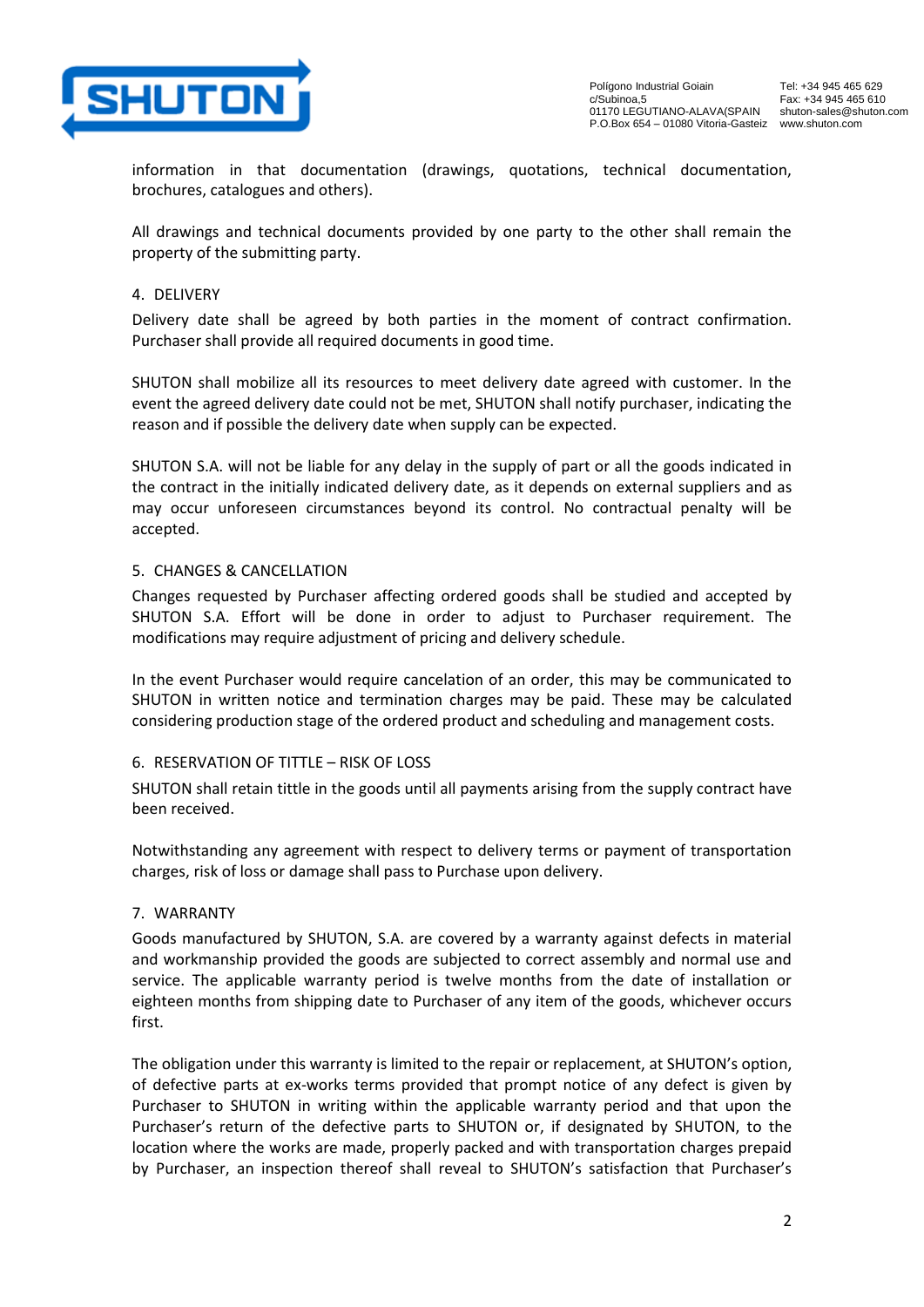

Polígono Industrial Goiain c/Subinoa,5 01170 LEGUTIANO-ALAVA(SPAIN P.O.Box 654 – 01080 Vitoria-Gasteiz www.shuton.com

Tel: +34 945 465 629 Fax: +34 945 465 610 shuton-sales@shuton.com

information in that documentation (drawings, quotations, technical documentation, brochures, catalogues and others).

All drawings and technical documents provided by one party to the other shall remain the property of the submitting party.

# <span id="page-1-0"></span>4. DELIVERY

Delivery date shall be agreed by both parties in the moment of contract confirmation. Purchaser shall provide all required documents in good time.

SHUTON shall mobilize all its resources to meet delivery date agreed with customer. In the event the agreed delivery date could not be met, SHUTON shall notify purchaser, indicating the reason and if possible the delivery date when supply can be expected.

SHUTON S.A. will not be liable for any delay in the supply of part or all the goods indicated in the contract in the initially indicated delivery date, as it depends on external suppliers and as may occur unforeseen circumstances beyond its control. No contractual penalty will be accepted.

# <span id="page-1-1"></span>5. CHANGES & CANCELLATION

Changes requested by Purchaser affecting ordered goods shall be studied and accepted by SHUTON S.A. Effort will be done in order to adjust to Purchaser requirement. The modifications may require adjustment of pricing and delivery schedule.

In the event Purchaser would require cancelation of an order, this may be communicated to SHUTON in written notice and termination charges may be paid. These may be calculated considering production stage of the ordered product and scheduling and management costs.

# <span id="page-1-2"></span>6. RESERVATION OF TITTLE – RISK OF LOSS

SHUTON shall retain tittle in the goods until all payments arising from the supply contract have been received.

Notwithstanding any agreement with respect to delivery terms or payment of transportation charges, risk of loss or damage shall pass to Purchase upon delivery.

# <span id="page-1-3"></span>7. WARRANTY

Goods manufactured by SHUTON, S.A. are covered by a warranty against defects in material and workmanship provided the goods are subjected to correct assembly and normal use and service. The applicable warranty period is twelve months from the date of installation or eighteen months from shipping date to Purchaser of any item of the goods, whichever occurs first.

The obligation under this warranty is limited to the repair or replacement, at SHUTON's option, of defective parts at ex-works terms provided that prompt notice of any defect is given by Purchaser to SHUTON in writing within the applicable warranty period and that upon the Purchaser's return of the defective parts to SHUTON or, if designated by SHUTON, to the location where the works are made, properly packed and with transportation charges prepaid by Purchaser, an inspection thereof shall reveal to SHUTON's satisfaction that Purchaser's